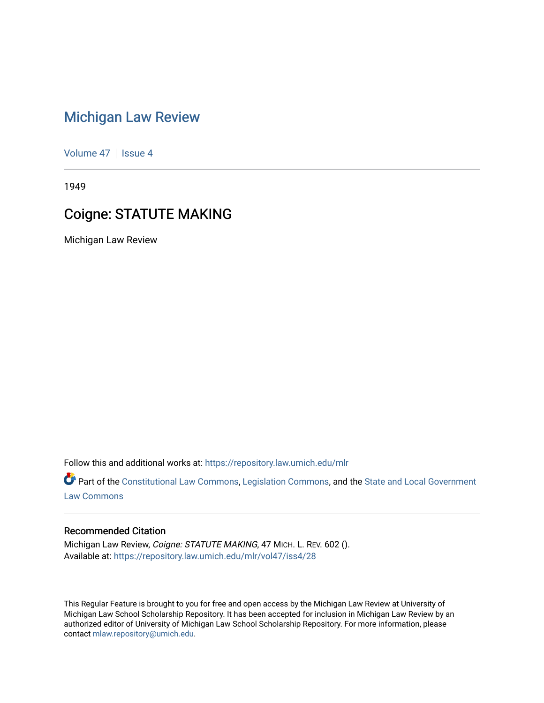## [Michigan Law Review](https://repository.law.umich.edu/mlr)

[Volume 47](https://repository.law.umich.edu/mlr/vol47) | [Issue 4](https://repository.law.umich.edu/mlr/vol47/iss4)

1949

## Coigne: STATUTE MAKING

Michigan Law Review

Follow this and additional works at: [https://repository.law.umich.edu/mlr](https://repository.law.umich.edu/mlr?utm_source=repository.law.umich.edu%2Fmlr%2Fvol47%2Fiss4%2F28&utm_medium=PDF&utm_campaign=PDFCoverPages) 

Part of the [Constitutional Law Commons,](http://network.bepress.com/hgg/discipline/589?utm_source=repository.law.umich.edu%2Fmlr%2Fvol47%2Fiss4%2F28&utm_medium=PDF&utm_campaign=PDFCoverPages) [Legislation Commons](http://network.bepress.com/hgg/discipline/859?utm_source=repository.law.umich.edu%2Fmlr%2Fvol47%2Fiss4%2F28&utm_medium=PDF&utm_campaign=PDFCoverPages), and the [State and Local Government](http://network.bepress.com/hgg/discipline/879?utm_source=repository.law.umich.edu%2Fmlr%2Fvol47%2Fiss4%2F28&utm_medium=PDF&utm_campaign=PDFCoverPages) [Law Commons](http://network.bepress.com/hgg/discipline/879?utm_source=repository.law.umich.edu%2Fmlr%2Fvol47%2Fiss4%2F28&utm_medium=PDF&utm_campaign=PDFCoverPages) 

## Recommended Citation

Michigan Law Review, Coigne: STATUTE MAKING, 47 MICH. L. REV. 602 (). Available at: [https://repository.law.umich.edu/mlr/vol47/iss4/28](https://repository.law.umich.edu/mlr/vol47/iss4/28?utm_source=repository.law.umich.edu%2Fmlr%2Fvol47%2Fiss4%2F28&utm_medium=PDF&utm_campaign=PDFCoverPages) 

This Regular Feature is brought to you for free and open access by the Michigan Law Review at University of Michigan Law School Scholarship Repository. It has been accepted for inclusion in Michigan Law Review by an authorized editor of University of Michigan Law School Scholarship Repository. For more information, please contact [mlaw.repository@umich.edu](mailto:mlaw.repository@umich.edu).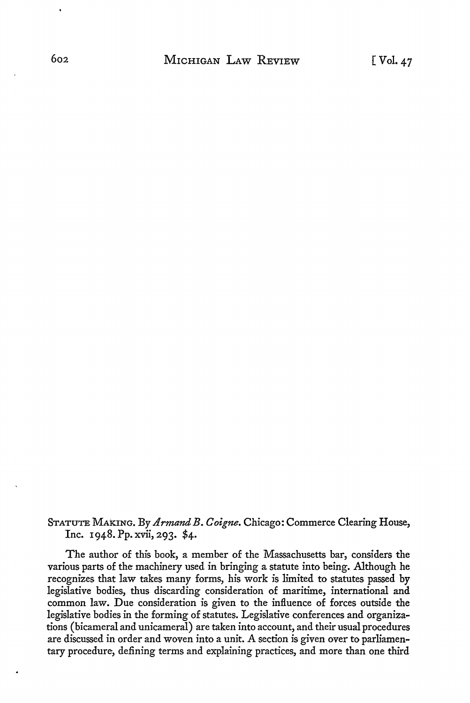STATUTE MAKING. By *Armand B. Coigne*. Chicago: Commerce Clearing House, Inc. 1948. Pp. xvii, 293. \$4.

The author of this book, a member of the Massachusetts bar, considers the various parts of the machinery used in bringing a statute into being. Although he recognizes that law takes many forms, his work is limited to statutes passed by legislative bodies, thus discarding consideration of maritime, international and common law. Due consideration is given to the influence of forces outside the legislative bodies in the forming of statutes. Legislative conferences and organizations (bicameral and unicameral) are taken into account, and their usual procedures are discussed in order and woven into a unit. A section is given over to parliamentary procedure, defining terms and explaining practices, and more than one third